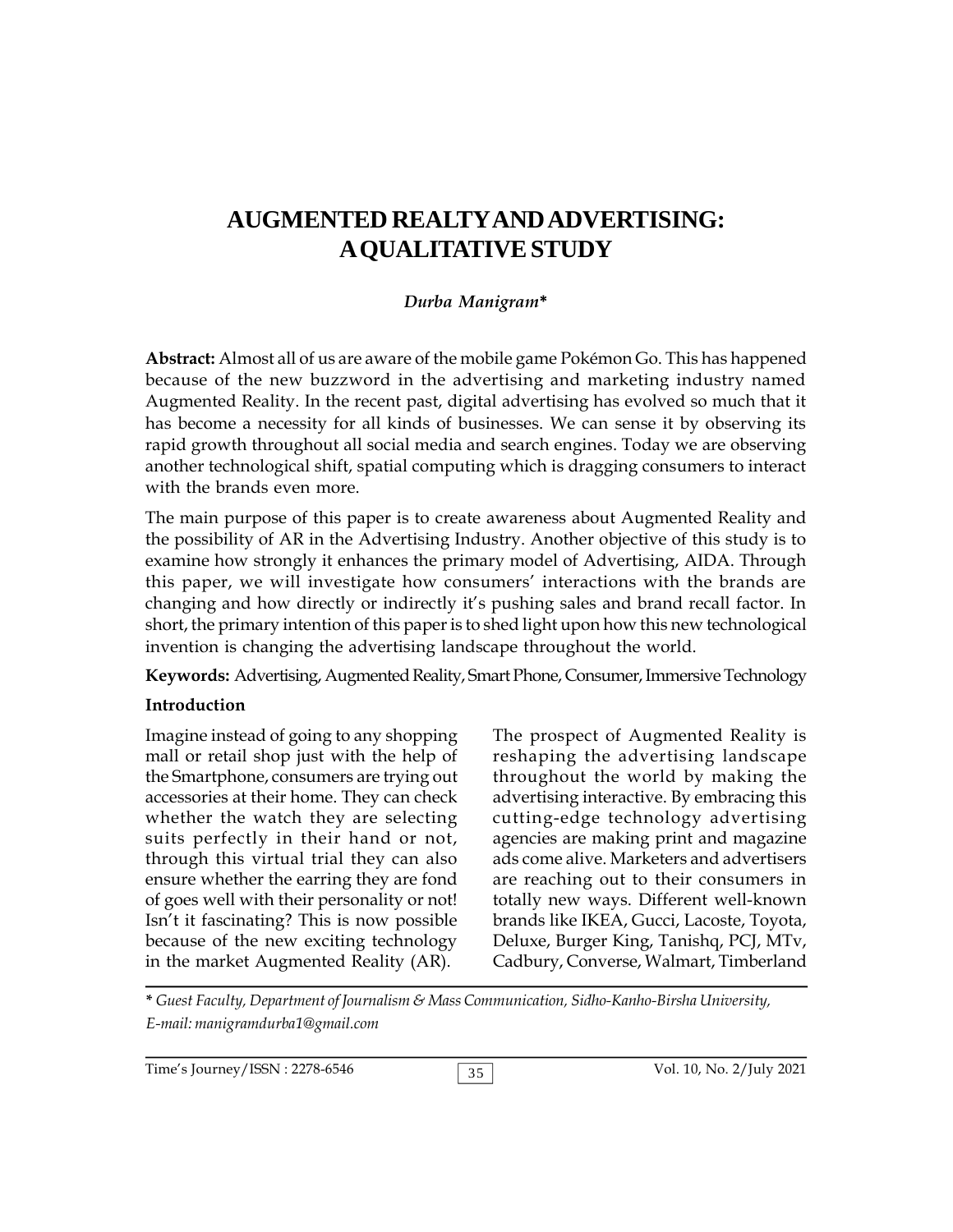# **AUGMENTED REALTYANDADVERTISING: A QUALITATIVE STUDY**

#### *Durba Manigram***\***

**Abstract:** Almost all of us are aware of the mobile game Pokémon Go. This has happened because of the new buzzword in the advertising and marketing industry named Augmented Reality. In the recent past, digital advertising has evolved so much that it has become a necessity for all kinds of businesses. We can sense it by observing its rapid growth throughout all social media and search engines. Today we are observing another technological shift, spatial computing which is dragging consumers to interact with the brands even more.

The main purpose of this paper is to create awareness about Augmented Reality and the possibility of AR in the Advertising Industry. Another objective of this study is to examine how strongly it enhances the primary model of Advertising, AIDA. Through this paper, we will investigate how consumers' interactions with the brands are changing and how directly or indirectly it's pushing sales and brand recall factor. In short, the primary intention of this paper is to shed light upon how this new technological invention is changing the advertising landscape throughout the world.

**Keywords:** Advertising, Augmented Reality, Smart Phone, Consumer, Immersive Technology

#### **Introduction**

Imagine instead of going to any shopping mall or retail shop just with the help of the Smartphone, consumers are trying out accessories at their home. They can check whether the watch they are selecting suits perfectly in their hand or not, through this virtual trial they can also ensure whether the earring they are fond of goes well with their personality or not! Isn't it fascinating? This is now possible because of the new exciting technology in the market Augmented Reality (AR).

The prospect of Augmented Reality is reshaping the advertising landscape throughout the world by making the advertising interactive. By embracing this cutting-edge technology advertising agencies are making print and magazine ads come alive. Marketers and advertisers are reaching out to their consumers in totally new ways. Different well-known brands like IKEA, Gucci, Lacoste, Toyota, Deluxe, Burger King, Tanishq, PCJ, MTv, Cadbury, Converse, Walmart, Timberland

**\*** *Guest Faculty, Department of Journalism & Mass Communication, Sidho-Kanho-Birsha University, E-mail: manigramdurba1@gmail.com*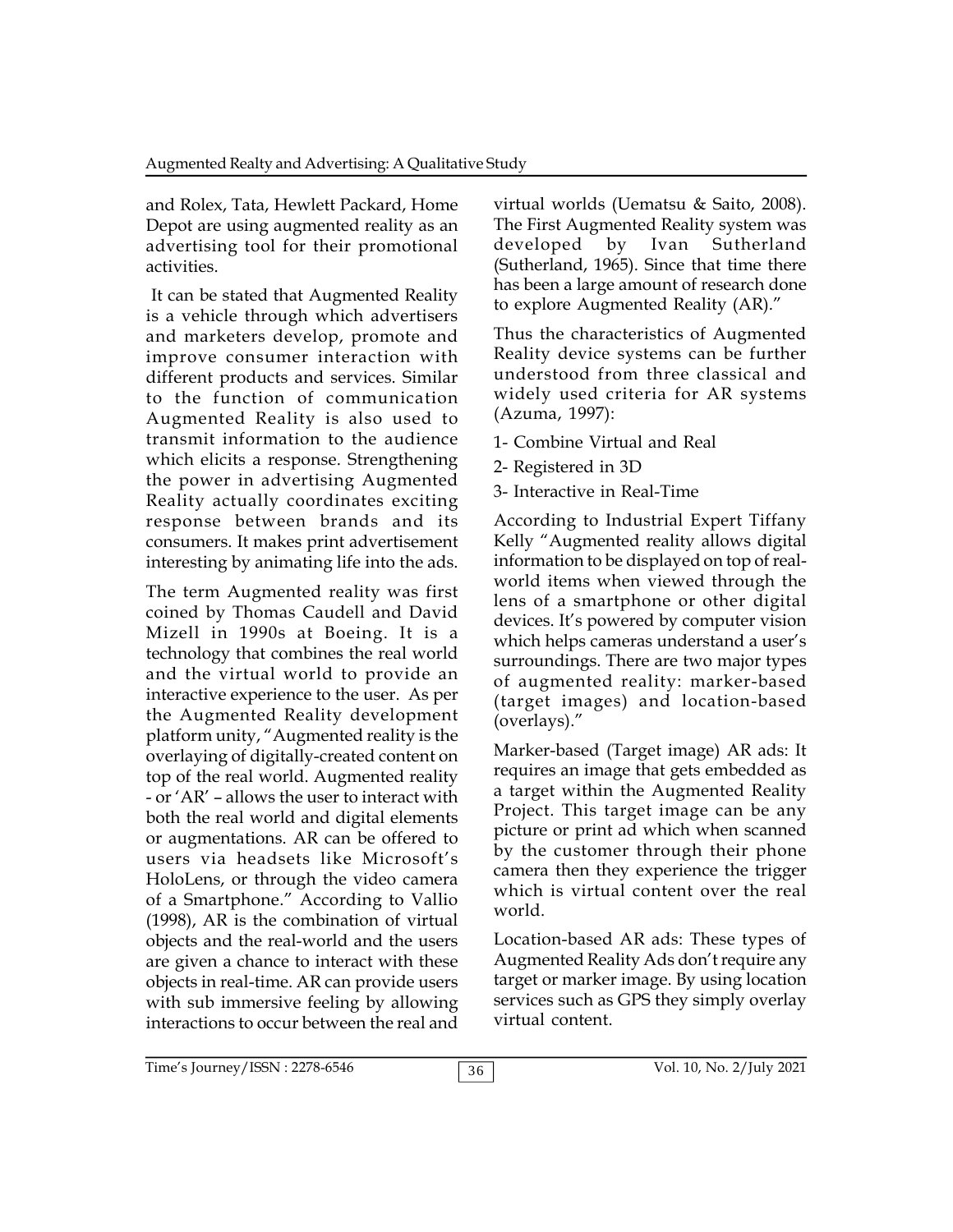and Rolex, Tata, Hewlett Packard, Home Depot are using augmented reality as an advertising tool for their promotional activities.

It can be stated that Augmented Reality is a vehicle through which advertisers and marketers develop, promote and improve consumer interaction with different products and services. Similar to the function of communication Augmented Reality is also used to transmit information to the audience which elicits a response. Strengthening the power in advertising Augmented Reality actually coordinates exciting response between brands and its consumers. It makes print advertisement interesting by animating life into the ads.

The term Augmented reality was first coined by Thomas Caudell and David Mizell in 1990s at Boeing. It is a technology that combines the real world and the virtual world to provide an interactive experience to the user. As per the Augmented Reality development platform unity, "Augmented reality is the overlaying of digitally-created content on top of the real world. Augmented reality - or 'AR' – allows the user to interact with both the real world and digital elements or augmentations. AR can be offered to users via headsets like Microsoft's HoloLens, or through the video camera of a Smartphone." According to Vallio (1998), AR is the combination of virtual objects and the real-world and the users are given a chance to interact with these objects in real-time. AR can provide users with sub immersive feeling by allowing interactions to occur between the real and

virtual worlds (Uematsu & Saito, 2008). The First Augmented Reality system was by Ivan Sutherland (Sutherland, 1965). Since that time there has been a large amount of research done to explore Augmented Reality (AR)."

Thus the characteristics of Augmented Reality device systems can be further understood from three classical and widely used criteria for AR systems (Azuma, 1997):

- 1- Combine Virtual and Real
- 2- Registered in 3D
- 3- Interactive in Real-Time

According to Industrial Expert Tiffany Kelly "Augmented reality allows digital information to be displayed on top of realworld items when viewed through the lens of a smartphone or other digital devices. It's powered by computer vision which helps cameras understand a user's surroundings. There are two major types of augmented reality: marker-based (target images) and location-based (overlays)."

Marker-based (Target image) AR ads: It requires an image that gets embedded as a target within the Augmented Reality Project. This target image can be any picture or print ad which when scanned by the customer through their phone camera then they experience the trigger which is virtual content over the real world.

Location-based AR ads: These types of Augmented Reality Ads don't require any target or marker image. By using location services such as GPS they simply overlay virtual content.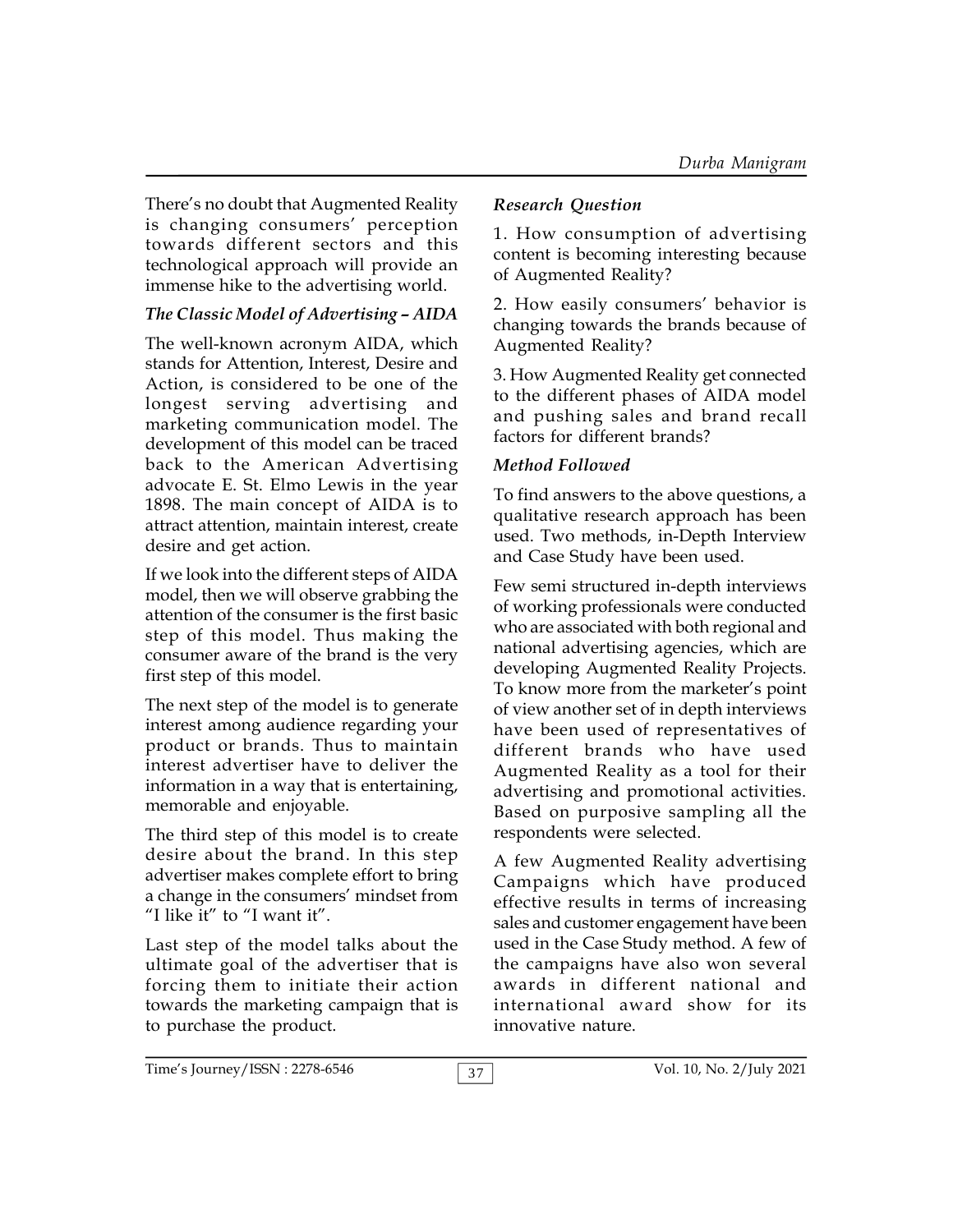There's no doubt that Augmented Reality is changing consumers' perception towards different sectors and this technological approach will provide an immense hike to the advertising world.

## *The Classic Model of Advertising – AIDA*

The well-known acronym AIDA, which stands for Attention, Interest, Desire and Action, is considered to be one of the longest serving advertising and marketing communication model. The development of this model can be traced back to the American Advertising advocate E. St. Elmo Lewis in the year 1898. The main concept of AIDA is to attract attention, maintain interest, create desire and get action.

If we look into the different steps of AIDA model, then we will observe grabbing the attention of the consumer is the first basic step of this model. Thus making the consumer aware of the brand is the very first step of this model.

The next step of the model is to generate interest among audience regarding your product or brands. Thus to maintain interest advertiser have to deliver the information in a way that is entertaining, memorable and enjoyable.

The third step of this model is to create desire about the brand. In this step advertiser makes complete effort to bring a change in the consumers' mindset from "I like it" to "I want it".

Last step of the model talks about the ultimate goal of the advertiser that is forcing them to initiate their action towards the marketing campaign that is to purchase the product.

## *Research Question*

1. How consumption of advertising content is becoming interesting because of Augmented Reality?

2. How easily consumers' behavior is changing towards the brands because of Augmented Reality?

3. How Augmented Reality get connected to the different phases of AIDA model and pushing sales and brand recall factors for different brands?

## *Method Followed*

To find answers to the above questions, a qualitative research approach has been used. Two methods, in-Depth Interview and Case Study have been used.

Few semi structured in-depth interviews of working professionals were conducted who are associated with both regional and national advertising agencies, which are developing Augmented Reality Projects. To know more from the marketer's point of view another set of in depth interviews have been used of representatives of different brands who have used Augmented Reality as a tool for their advertising and promotional activities. Based on purposive sampling all the respondents were selected.

A few Augmented Reality advertising Campaigns which have produced effective results in terms of increasing sales and customer engagement have been used in the Case Study method. A few of the campaigns have also won several awards in different national and international award show for its innovative nature.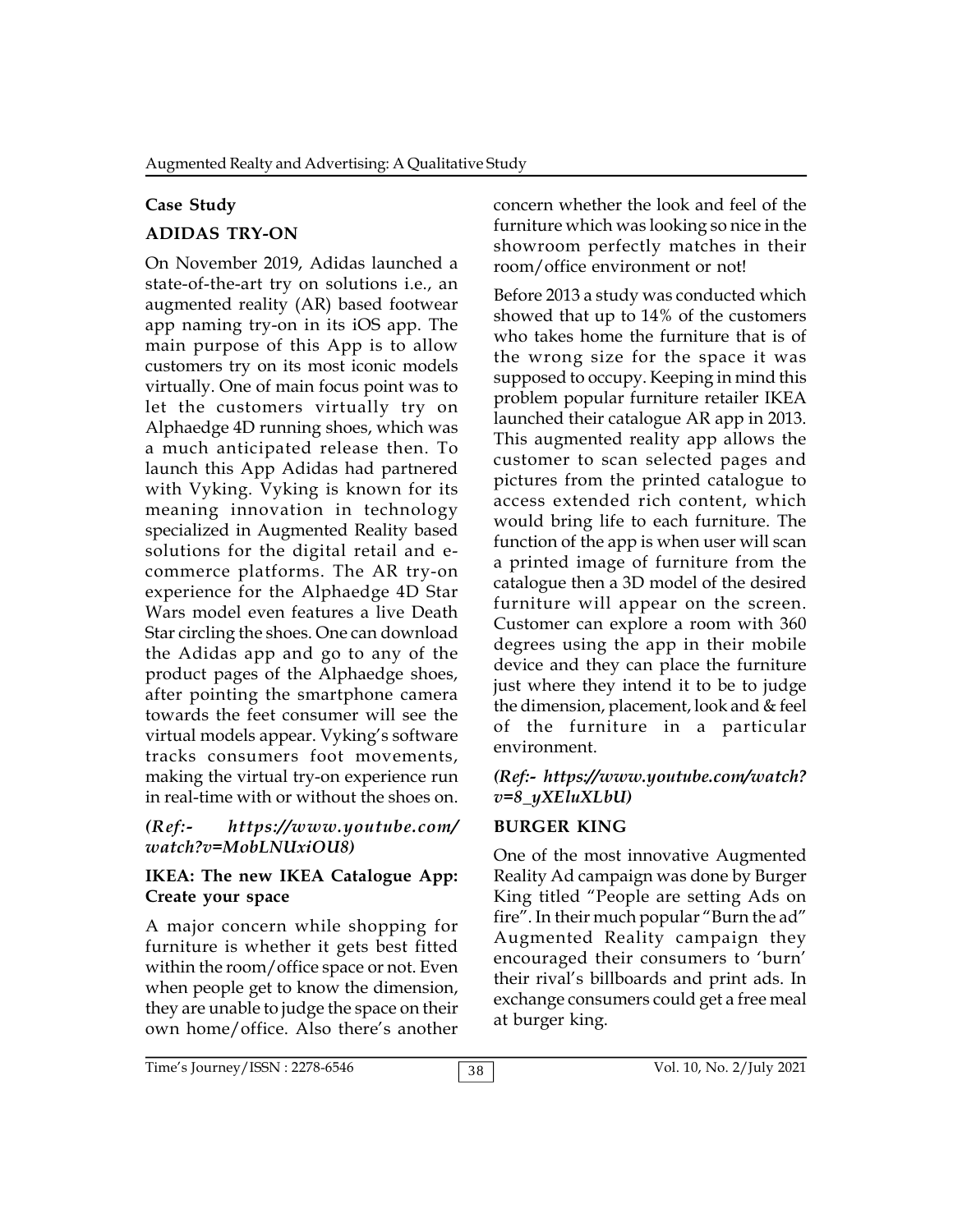#### **Case Study**

## **ADIDAS TRY-ON**

On November 2019, Adidas launched a state-of-the-art try on solutions i.e., an augmented reality (AR) based footwear app naming try-on in its iOS app. The main purpose of this App is to allow customers try on its most iconic models virtually. One of main focus point was to let the customers virtually try on Alphaedge 4D running shoes, which was a much anticipated release then. To launch this App Adidas had partnered with Vyking. Vyking is known for its meaning innovation in technology specialized in Augmented Reality based solutions for the digital retail and ecommerce platforms. The AR try-on experience for the Alphaedge 4D Star Wars model even features a live Death Star circling the shoes. One can download the Adidas app and go to any of the product pages of the Alphaedge shoes, after pointing the smartphone camera towards the feet consumer will see the virtual models appear. Vyking's software tracks consumers foot movements, making the virtual try-on experience run in real-time with or without the shoes on.

#### *(Ref:- https://www.youtube.com/ watch?v=MobLNUxiOU8)*

#### **IKEA: The new IKEA Catalogue App: Create your space**

A major concern while shopping for furniture is whether it gets best fitted within the room/office space or not. Even when people get to know the dimension, they are unable to judge the space on their own home/office. Also there's another concern whether the look and feel of the furniture which was looking so nice in the showroom perfectly matches in their room/office environment or not!

Before 2013 a study was conducted which showed that up to 14% of the customers who takes home the furniture that is of the wrong size for the space it was supposed to occupy. Keeping in mind this problem popular furniture retailer IKEA launched their catalogue AR app in 2013. This augmented reality app allows the customer to scan selected pages and pictures from the printed catalogue to access extended rich content, which would bring life to each furniture. The function of the app is when user will scan a printed image of furniture from the catalogue then a 3D model of the desired furniture will appear on the screen. Customer can explore a room with 360 degrees using the app in their mobile device and they can place the furniture just where they intend it to be to judge the dimension, placement, look and & feel of the furniture in a particular environment.

#### *(Ref:- https://www.youtube.com/watch? v=8\_yXEluXLbU)*

## **BURGER KING**

One of the most innovative Augmented Reality Ad campaign was done by Burger King titled "People are setting Ads on fire". In their much popular "Burn the ad" Augmented Reality campaign they encouraged their consumers to 'burn' their rival's billboards and print ads. In exchange consumers could get a free meal at burger king.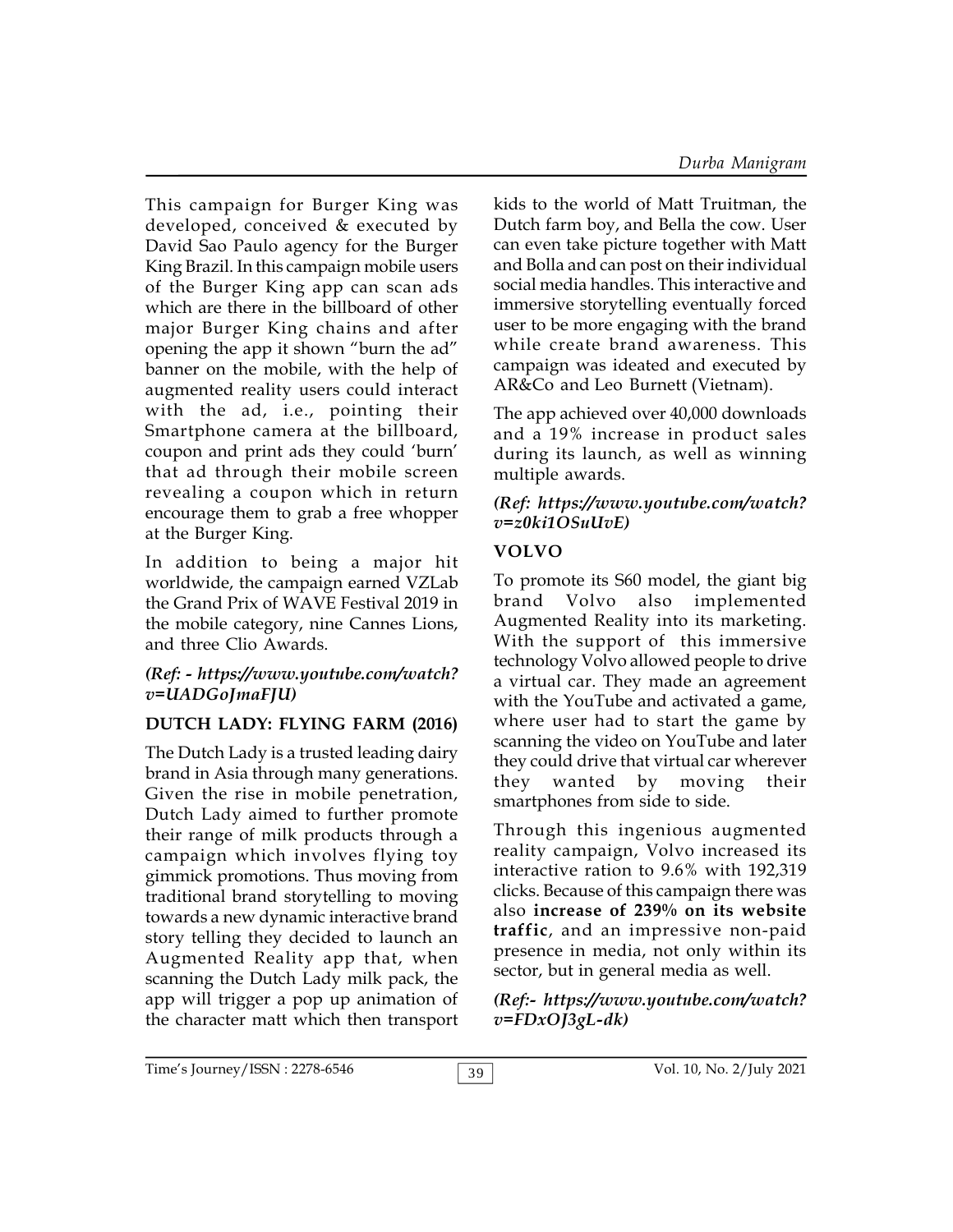This campaign for Burger King was developed, conceived & executed by David Sao Paulo agency for the Burger King Brazil. In this campaign mobile users of the Burger King app can scan ads which are there in the billboard of other major Burger King chains and after opening the app it shown "burn the ad" banner on the mobile, with the help of augmented reality users could interact with the ad, i.e., pointing their Smartphone camera at the billboard, coupon and print ads they could 'burn' that ad through their mobile screen revealing a coupon which in return encourage them to grab a free whopper at the Burger King.

In addition to being a major hit worldwide, the campaign earned VZLab the Grand Prix of WAVE Festival 2019 in the mobile category, nine Cannes Lions, and three Clio Awards.

## *(Ref: - https://www.youtube.com/watch? v=UADGoJmaFJU)*

## **DUTCH LADY: FLYING FARM (2016)**

The Dutch Lady is a trusted leading dairy brand in Asia through many generations. Given the rise in mobile penetration, Dutch Lady aimed to further promote their range of milk products through a campaign which involves flying toy gimmick promotions. Thus moving from traditional brand storytelling to moving towards a new dynamic interactive brand story telling they decided to launch an Augmented Reality app that, when scanning the Dutch Lady milk pack, the app will trigger a pop up animation of the character matt which then transport kids to the world of Matt Truitman, the Dutch farm boy, and Bella the cow. User can even take picture together with Matt and Bolla and can post on their individual social media handles. This interactive and immersive storytelling eventually forced user to be more engaging with the brand while create brand awareness. This campaign was ideated and executed by AR&Co and Leo Burnett (Vietnam).

The app achieved over 40,000 downloads and a 19% increase in product sales during its launch, as well as winning multiple awards.

## *(Ref: https://www.youtube.com/watch? v=z0ki1OSuUvE)*

## **VOLVO**

To promote its S60 model, the giant big brand Volvo also implemented Augmented Reality into its marketing. With the support of this immersive technology Volvo allowed people to drive a virtual car. They made an agreement with the YouTube and activated a game, where user had to start the game by scanning the video on YouTube and later they could drive that virtual car wherever they wanted by moving their smartphones from side to side.

Through this ingenious augmented reality campaign, Volvo increased its interactive ration to 9.6% with 192,319 clicks. Because of this campaign there was also **increase of 239% on its website traffic**, and an impressive non-paid presence in media, not only within its sector, but in general media as well.

## *(Ref:- https://www.youtube.com/watch? v=FDxOJ3gL-dk)*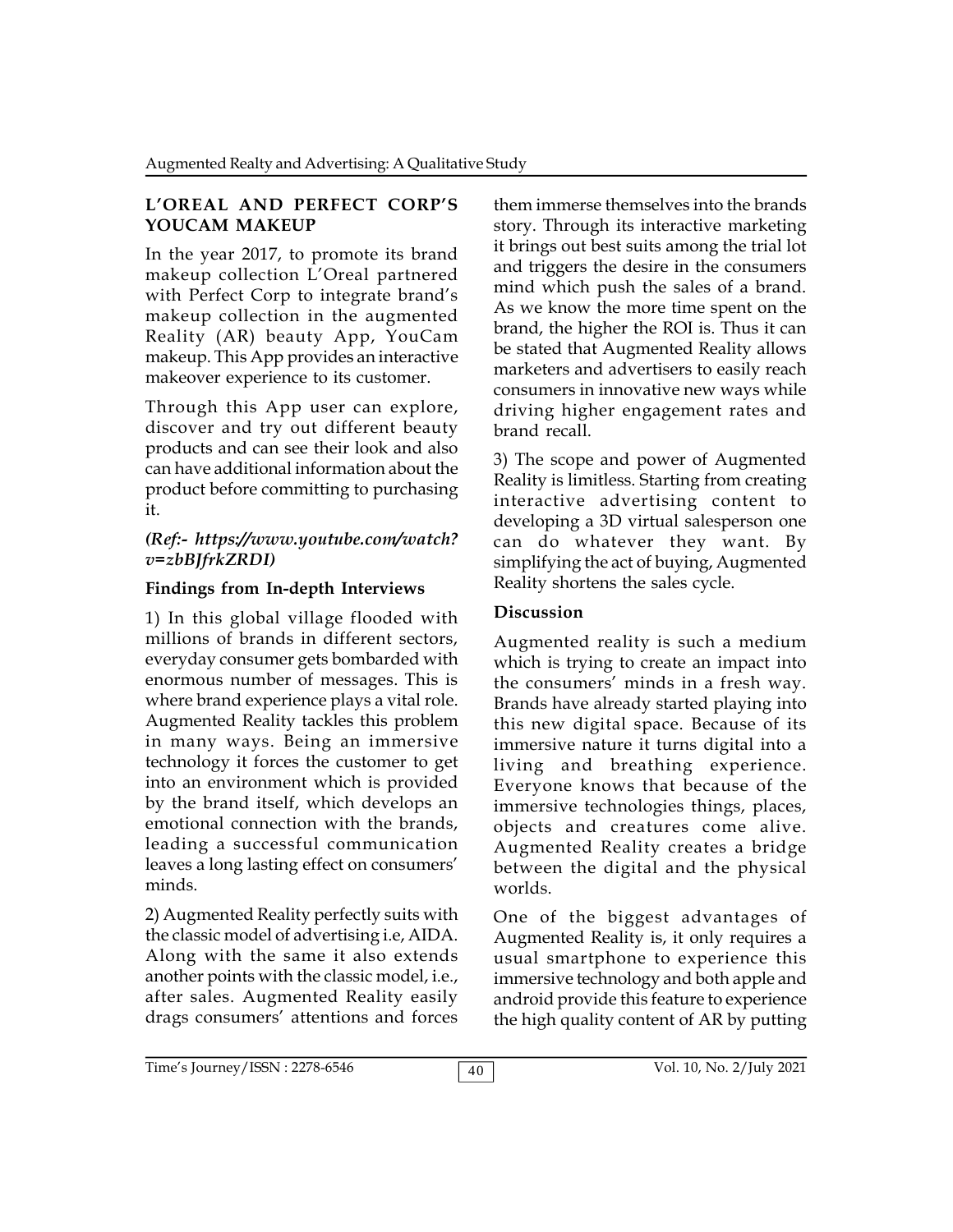#### **L'OREAL AND PERFECT CORP'S YOUCAM MAKEUP**

In the year 2017, to promote its brand makeup collection L'Oreal partnered with Perfect Corp to integrate brand's makeup collection in the augmented Reality (AR) beauty App, YouCam makeup. This App provides an interactive makeover experience to its customer.

Through this App user can explore, discover and try out different beauty products and can see their look and also can have additional information about the product before committing to purchasing it.

#### *(Ref:- https://www.youtube.com/watch? v=zbBJfrkZRDI)*

#### **Findings from In-depth Interviews**

1) In this global village flooded with millions of brands in different sectors, everyday consumer gets bombarded with enormous number of messages. This is where brand experience plays a vital role. Augmented Reality tackles this problem in many ways. Being an immersive technology it forces the customer to get into an environment which is provided by the brand itself, which develops an emotional connection with the brands, leading a successful communication leaves a long lasting effect on consumers' minds.

2) Augmented Reality perfectly suits with the classic model of advertising i.e, AIDA. Along with the same it also extends another points with the classic model, i.e., after sales. Augmented Reality easily drags consumers' attentions and forces

them immerse themselves into the brands story. Through its interactive marketing it brings out best suits among the trial lot and triggers the desire in the consumers mind which push the sales of a brand. As we know the more time spent on the brand, the higher the ROI is. Thus it can be stated that Augmented Reality allows marketers and advertisers to easily reach consumers in innovative new ways while driving higher engagement rates and brand recall.

3) The scope and power of Augmented Reality is limitless. Starting from creating interactive advertising content to developing a 3D virtual salesperson one can do whatever they want. By simplifying the act of buying, Augmented Reality shortens the sales cycle.

## **Discussion**

Augmented reality is such a medium which is trying to create an impact into the consumers' minds in a fresh way. Brands have already started playing into this new digital space. Because of its immersive nature it turns digital into a living and breathing experience. Everyone knows that because of the immersive technologies things, places, objects and creatures come alive. Augmented Reality creates a bridge between the digital and the physical worlds.

One of the biggest advantages of Augmented Reality is, it only requires a usual smartphone to experience this immersive technology and both apple and android provide this feature to experience the high quality content of AR by putting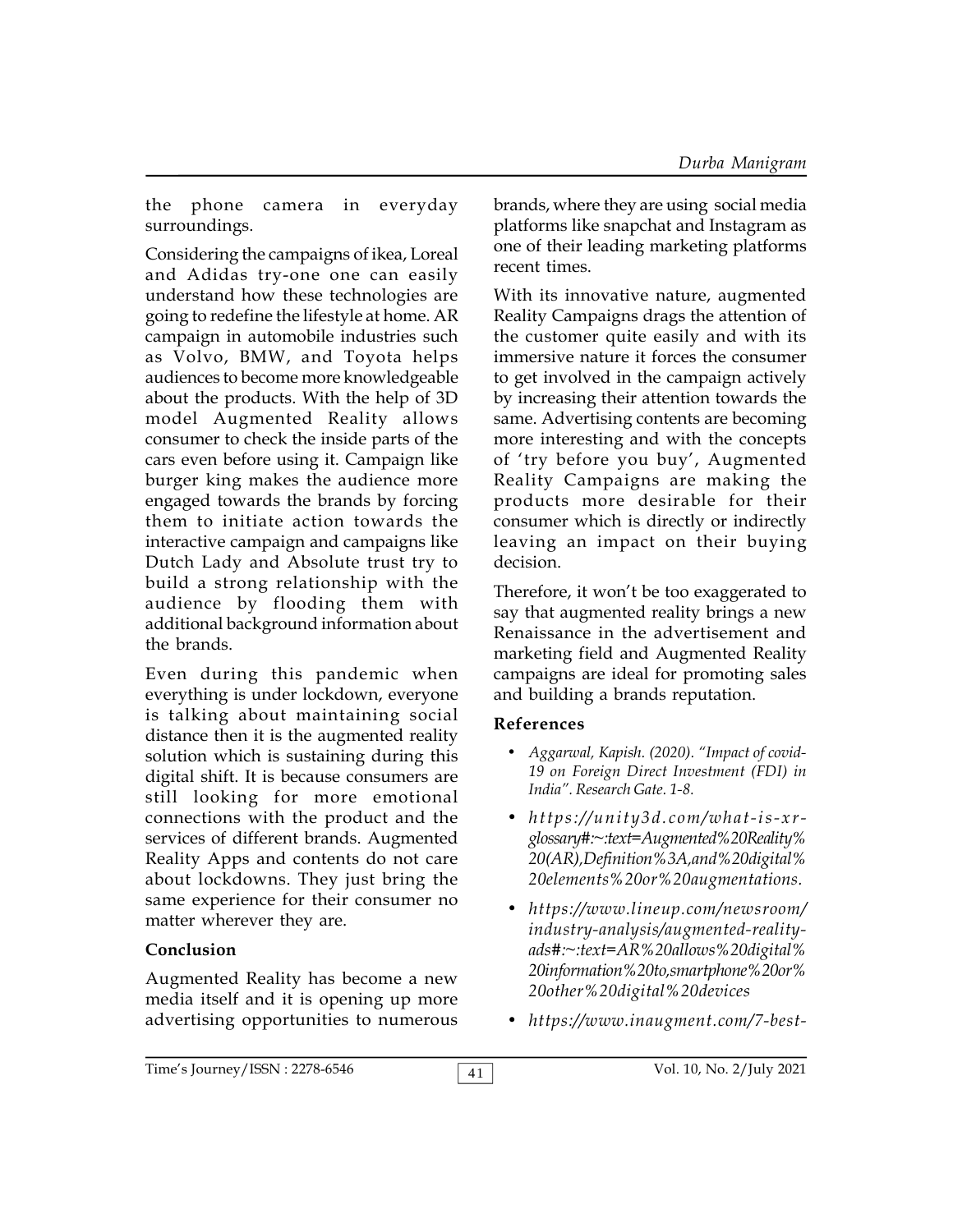the phone camera in everyday surroundings.

Considering the campaigns of ikea, Loreal and Adidas try-one one can easily understand how these technologies are going to redefine the lifestyle at home. AR campaign in automobile industries such as Volvo, BMW, and Toyota helps audiences to become more knowledgeable about the products. With the help of 3D model Augmented Reality allows consumer to check the inside parts of the cars even before using it. Campaign like burger king makes the audience more engaged towards the brands by forcing them to initiate action towards the interactive campaign and campaigns like Dutch Lady and Absolute trust try to build a strong relationship with the audience by flooding them with additional background information about the brands.

Even during this pandemic when everything is under lockdown, everyone is talking about maintaining social distance then it is the augmented reality solution which is sustaining during this digital shift. It is because consumers are still looking for more emotional connections with the product and the  $h$  the  $h$  the state  $h$  the state  $h$  the state  $h$  the product and the  $h$  the  $h$  the  $h$  the  $h$  the  $h$  the  $h$  the  $h$  the  $h$  the  $h$  the  $h$  the  $h$  the  $h$  the  $h$  the  $h$  th services of different brands. Augmented Reality Apps and contents do not care about lockdowns. They just bring the same experience for their consumer no matter wherever they are.

#### **Conclusion**

Augmented Reality has become a new media itself and it is opening up more advertising opportunities to numerous

brands, where they are using social media platforms like snapchat and Instagram as one of their leading marketing platforms recent times.

With its innovative nature, augmented Reality Campaigns drags the attention of the customer quite easily and with its immersive nature it forces the consumer to get involved in the campaign actively by increasing their attention towards the same. Advertising contents are becoming more interesting and with the concepts of 'try before you buy', Augmented Reality Campaigns are making the products more desirable for their consumer which is directly or indirectly leaving an impact on their buying decision.

Therefore, it won't be too exaggerated to say that augmented reality brings a new Renaissance in the advertisement and marketing field and Augmented Reality campaigns are ideal for promoting sales and building a brands reputation.

## **References**

- *Aggarwal, Kapish. (2020). "Impact of covid-19 on Foreign Direct Investment (FDI) in India". Research Gate. 1-8.* **e ferences**<br> **•** Aggarwal, Kapish. (2020). "Impact of covid-<br>
19 on Foreign Direct Investment (FDI) in<br>
India". Research Gate. 1-8.<br> **•** https://unity3d.com/what-is-xr-<br>
glossary#:~:text=Augmented%20Reality%
- *glossary#:~:text=Augmented%20Reality% 20(AR),Definition%3A,and%20digital% 20elements%20or%20augmentations.*
- *https://www.lineup.com/newsroom/ industry-analysis/augmented-realityads#:~:text=AR%20allows%20digital% 20information%20to,smartphone%20or% 20other%20digital%20devices*
- *https://www.inaugment.com/7-best-*